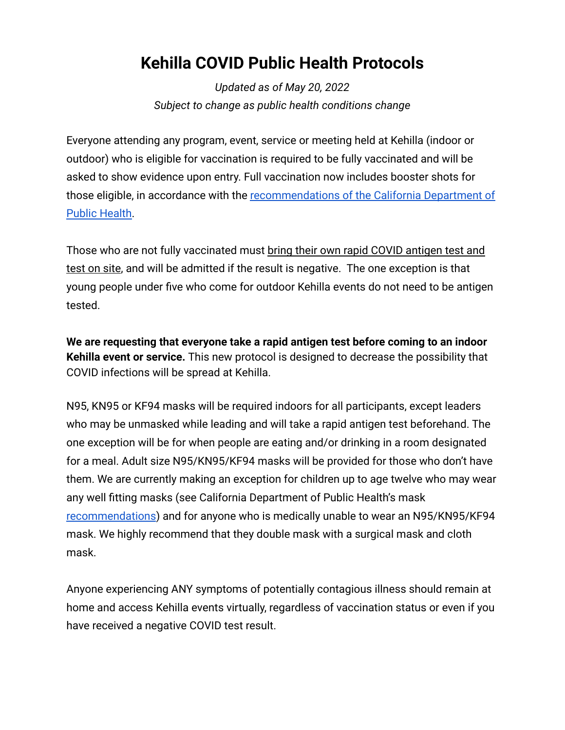## **Kehilla COVID Public Health Protocols**

*Updated as of May 20, 2022 Subject to change as public health conditions change*

Everyone attending any program, event, service or meeting held at Kehilla (indoor or outdoor) who is eligible for vaccination is required to be fully vaccinated and will be asked to show evidence upon entry. Full vaccination now includes booster shots for those eligible, in accordance with the recommendations [of the California Department of](https://www.cdph.ca.gov/Programs/CID/DCDC/Pages/COVID-19/COVID-19-Vaccine-Boosters.aspx) [Public Health.](https://www.cdph.ca.gov/Programs/CID/DCDC/Pages/COVID-19/COVID-19-Vaccine-Boosters.aspx)

Those who are not fully vaccinated must bring their own rapid COVID antigen test and test on site, and will be admitted if the result is negative. The one exception is that young people under five who come for outdoor Kehilla events do not need to be antigen tested.

**We are requesting that everyone take a rapid antigen test before coming to an indoor Kehilla event or service.** This new protocol is designed to decrease the possibility that COVID infections will be spread at Kehilla.

N95, KN95 or KF94 masks will be required indoors for all participants, except leaders who may be unmasked while leading and will take a rapid antigen test beforehand. The one exception will be for when people are eating and/or drinking in a room designated for a meal. Adult size N95/KN95/KF94 masks will be provided for those who don't have them. We are currently making an exception for children up to age twelve who may wear any well fitting masks (see California Department of Public Health's mask [recommendations](https://www.cdph.ca.gov/Programs/CID/DCDC/Pages/COVID-19/guidance-for-face-coverings.aspx#)) and for anyone who is medically unable to wear an N95/KN95/KF94 mask. We highly recommend that they double mask with a surgical mask and cloth mask.

Anyone experiencing ANY symptoms of potentially contagious illness should remain at home and access Kehilla events virtually, regardless of vaccination status or even if you have received a negative COVID test result.